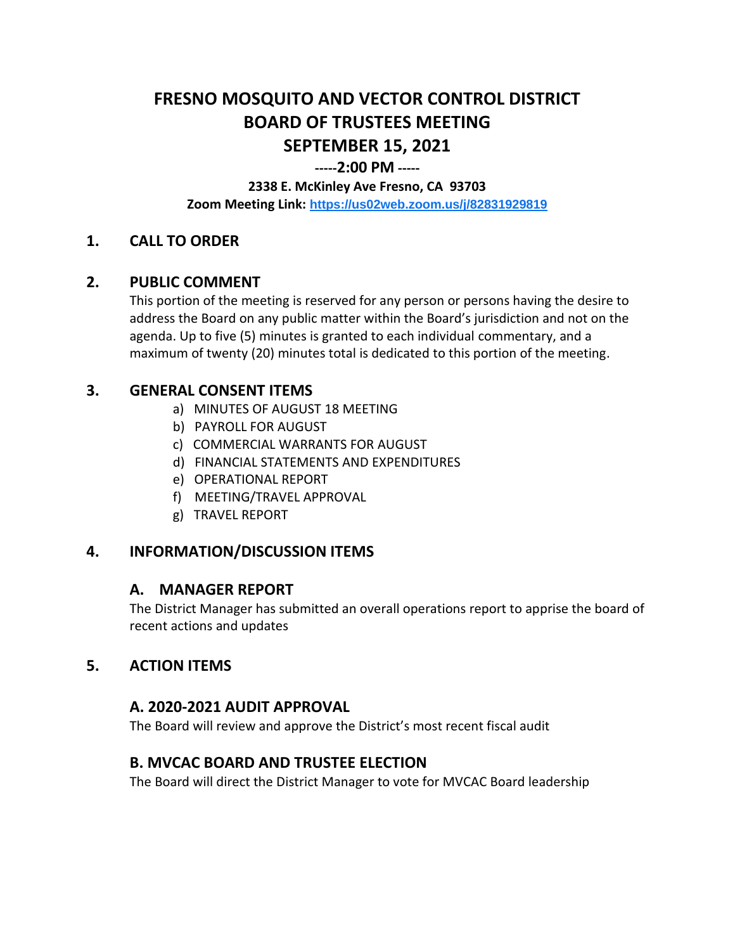# **FRESNO MOSQUITO AND VECTOR CONTROL DISTRICT BOARD OF TRUSTEES MEETING SEPTEMBER 15, 2021**

### **-----2:00 PM -----**

#### **2338 E. McKinley Ave Fresno, CA 93703**

**Zoom Meeting Link: <https://us02web.zoom.us/j/82831929819>**

## **1. CALL TO ORDER**

## **2. PUBLIC COMMENT**

This portion of the meeting is reserved for any person or persons having the desire to address the Board on any public matter within the Board's jurisdiction and not on the agenda. Up to five (5) minutes is granted to each individual commentary, and a maximum of twenty (20) minutes total is dedicated to this portion of the meeting.

## **3. GENERAL CONSENT ITEMS**

- a) MINUTES OF AUGUST 18 MEETING
- b) PAYROLL FOR AUGUST
- c) COMMERCIAL WARRANTS FOR AUGUST
- d) FINANCIAL STATEMENTS AND EXPENDITURES
- e) OPERATIONAL REPORT
- f) MEETING/TRAVEL APPROVAL
- g) TRAVEL REPORT

## **4. INFORMATION/DISCUSSION ITEMS**

#### **A. MANAGER REPORT**

The District Manager has submitted an overall operations report to apprise the board of recent actions and updates

## **5. ACTION ITEMS**

## **A. 2020-2021 AUDIT APPROVAL**

The Board will review and approve the District's most recent fiscal audit

## **B. MVCAC BOARD AND TRUSTEE ELECTION**

The Board will direct the District Manager to vote for MVCAC Board leadership